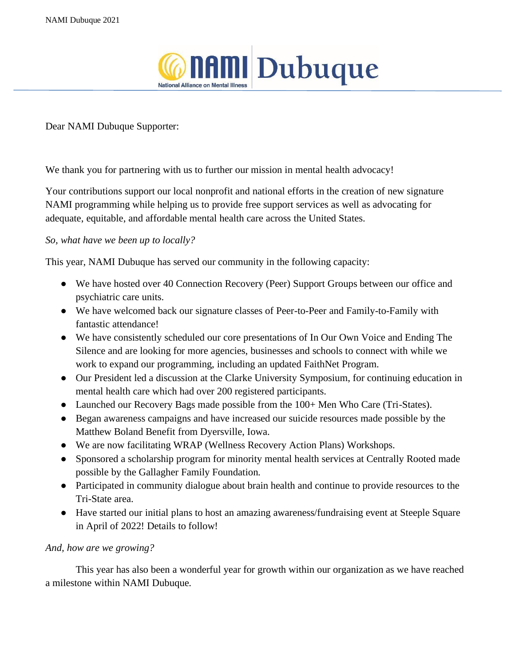

Dear NAMI Dubuque Supporter:

We thank you for partnering with us to further our mission in mental health advocacy!

Your contributions support our local nonprofit and national efforts in the creation of new signature NAMI programming while helping us to provide free support services as well as advocating for adequate, equitable, and affordable mental health care across the United States.

## *So, what have we been up to locally?*

This year, NAMI Dubuque has served our community in the following capacity:

- We have hosted over 40 Connection Recovery (Peer) Support Groups between our office and psychiatric care units.
- We have welcomed back our signature classes of Peer-to-Peer and Family-to-Family with fantastic attendance!
- We have consistently scheduled our core presentations of In Our Own Voice and Ending The Silence and are looking for more agencies, businesses and schools to connect with while we work to expand our programming, including an updated FaithNet Program.
- Our President led a discussion at the Clarke University Symposium, for continuing education in mental health care which had over 200 registered participants.
- Launched our Recovery Bags made possible from the 100+ Men Who Care (Tri-States).
- Began awareness campaigns and have increased our suicide resources made possible by the Matthew Boland Benefit from Dyersville, Iowa.
- We are now facilitating WRAP (Wellness Recovery Action Plans) Workshops.
- Sponsored a scholarship program for minority mental health services at Centrally Rooted made possible by the Gallagher Family Foundation.
- Participated in community dialogue about brain health and continue to provide resources to the Tri-State area.
- Have started our initial plans to host an amazing awareness/fundraising event at Steeple Square in April of 2022! Details to follow!

## *And, how are we growing?*

This year has also been a wonderful year for growth within our organization as we have reached a milestone within NAMI Dubuque.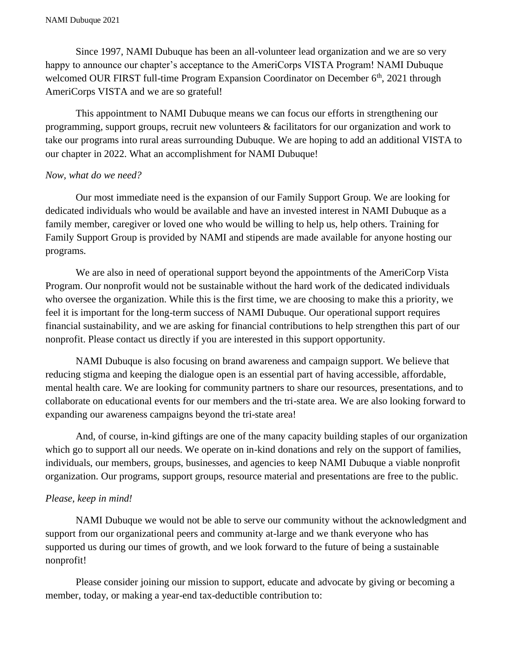Since 1997, NAMI Dubuque has been an all-volunteer lead organization and we are so very happy to announce our chapter's acceptance to the AmeriCorps VISTA Program! NAMI Dubuque welcomed OUR FIRST full-time Program Expansion Coordinator on December  $6<sup>th</sup>$ , 2021 through AmeriCorps VISTA and we are so grateful!

This appointment to NAMI Dubuque means we can focus our efforts in strengthening our programming, support groups, recruit new volunteers & facilitators for our organization and work to take our programs into rural areas surrounding Dubuque. We are hoping to add an additional VISTA to our chapter in 2022. What an accomplishment for NAMI Dubuque!

## *Now, what do we need?*

Our most immediate need is the expansion of our Family Support Group. We are looking for dedicated individuals who would be available and have an invested interest in NAMI Dubuque as a family member, caregiver or loved one who would be willing to help us, help others. Training for Family Support Group is provided by NAMI and stipends are made available for anyone hosting our programs.

We are also in need of operational support beyond the appointments of the AmeriCorp Vista Program. Our nonprofit would not be sustainable without the hard work of the dedicated individuals who oversee the organization. While this is the first time, we are choosing to make this a priority, we feel it is important for the long-term success of NAMI Dubuque. Our operational support requires financial sustainability, and we are asking for financial contributions to help strengthen this part of our nonprofit. Please contact us directly if you are interested in this support opportunity.

NAMI Dubuque is also focusing on brand awareness and campaign support. We believe that reducing stigma and keeping the dialogue open is an essential part of having accessible, affordable, mental health care. We are looking for community partners to share our resources, presentations, and to collaborate on educational events for our members and the tri-state area. We are also looking forward to expanding our awareness campaigns beyond the tri-state area!

And, of course, in-kind giftings are one of the many capacity building staples of our organization which go to support all our needs. We operate on in-kind donations and rely on the support of families, individuals, our members, groups, businesses, and agencies to keep NAMI Dubuque a viable nonprofit organization. Our programs, support groups, resource material and presentations are free to the public.

## *Please, keep in mind!*

NAMI Dubuque we would not be able to serve our community without the acknowledgment and support from our organizational peers and community at-large and we thank everyone who has supported us during our times of growth, and we look forward to the future of being a sustainable nonprofit!

Please consider joining our mission to support, educate and advocate by giving or becoming a member, today, or making a year-end tax-deductible contribution to: